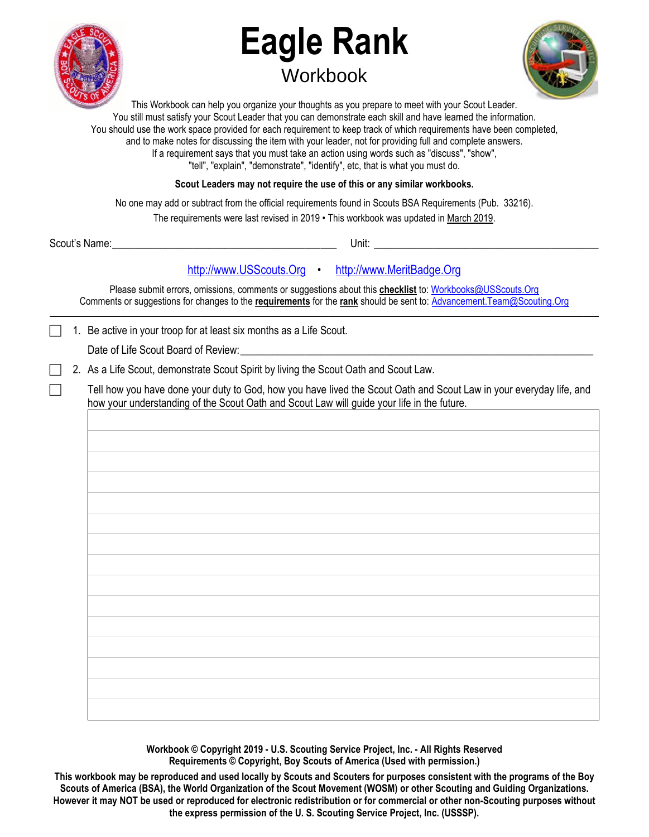

# **Eagle Rank Workbook**



This Workbook can help you organize your thoughts as you prepare to meet with your Scout Leader. You still must satisfy your Scout Leader that you can demonstrate each skill and have learned the information. You should use the work space provided for each requirement to keep track of which requirements have been completed, and to make notes for discussing the item with your leader, not for providing full and complete answers. If a requirement says that you must take an action using words such as "discuss", "show", "tell", "explain", "demonstrate", "identify", etc, that is what you must do.

**Scout Leaders may not require the use of this or any similar workbooks.**

No one may add or subtract from the official requirements found in Scouts BSA Requirements (Pub. 33216).

The requirements were last revised in 2019 • This workbook was updated in March 2019.

| Scout's | Unit: |
|---------|-------|
| Name:   | __    |
|         |       |

# [http://www.USScouts.Org](http://www.usscouts.org/) • [http://www.MeritBadge.Org](http://www.meritbadge.org/)

Please submit errors, omissions, comments or suggestions about this **checklist** to[: Workbooks@USScouts.Org](mailto:Workbooks@usscouts.org?subject=Merit%20Badge%20Workbooks) Comments or suggestions for changes to the **requirements** for the **rank** should be sent to: [Advancement.Team@Scouting.Org](mailto:Advancement.Team@Scouting.Org) *\_\_\_\_\_\_\_\_\_\_\_\_\_\_\_\_\_\_\_\_\_\_\_\_\_\_\_\_\_\_\_\_\_\_\_\_\_\_\_\_\_\_\_\_\_\_\_\_\_\_\_\_\_\_\_\_\_\_\_\_\_\_\_\_\_\_\_\_\_\_\_\_\_\_\_\_\_\_\_\_\_\_\_\_\_\_\_\_\_\_\_\_\_\_\_\_\_\_\_\_\_\_\_\_\_\_\_\_\_\_\_\_\_\_\_\_\_\_\_\_\_\_\_\_\_\_\_\_\_\_\_\_\_\_\_\_\_\_\_\_\_\_* 

1. Be active in your troop for at least six months as a Life Scout.

Date of Life Scout Board of Review:

2. As a Life Scout, demonstrate Scout Spirit by living the Scout Oath and Scout Law.

Tell how you have done your duty to God, how you have lived the Scout Oath and Scout Law in your everyday life, and how your understanding of the Scout Oath and Scout Law will guide your life in the future.

**Workbook © Copyright 2019 - U.S. Scouting Service Project, Inc. - All Rights Reserved Requirements © Copyright, Boy Scouts of America (Used with permission.)** 

**This workbook may be reproduced and used locally by Scouts and Scouters for purposes consistent with the programs of the Boy Scouts of America (BSA), the World Organization of the Scout Movement (WOSM) or other Scouting and Guiding Organizations. However it may NOT be used or reproduced for electronic redistribution or for commercial or other non-Scouting purposes without the express permission of the U. S. Scouting Service Project, Inc. (USSSP).**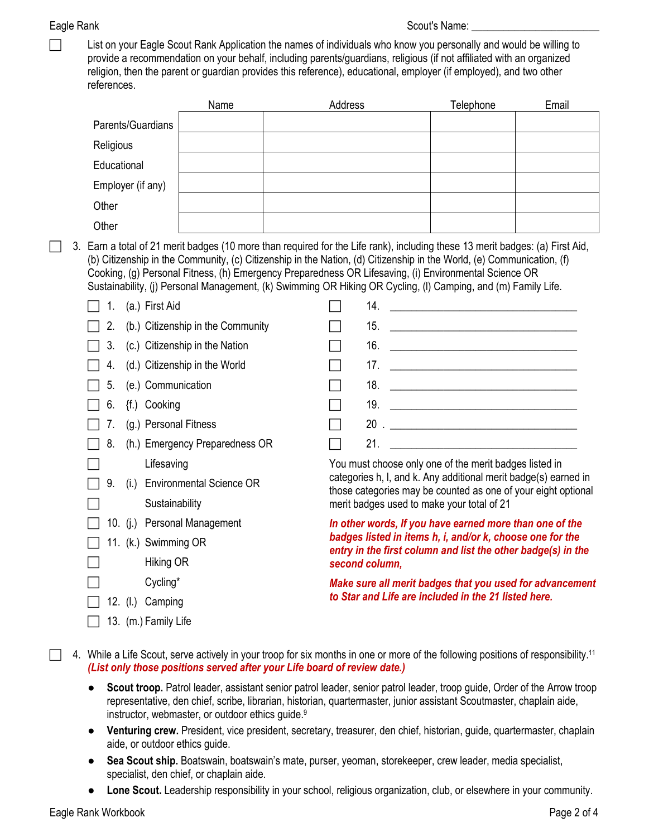| List on your Eagle Scout Rank Application the names of individuals who know you personally and would be willing to   |
|----------------------------------------------------------------------------------------------------------------------|
| provide a recommendation on your behalf, including parents/guardians, religious (if not affiliated with an organized |
| religion, then the parent or guardian provides this reference), educational, employer (if employed), and two other   |
| references.                                                                                                          |

|                              | Name                                                                                                                                                                                                                                                                                                                                                                                                                                                                             | Address |                                                                                                                                                                                                        | Telephone                                                | Email |  |  |
|------------------------------|----------------------------------------------------------------------------------------------------------------------------------------------------------------------------------------------------------------------------------------------------------------------------------------------------------------------------------------------------------------------------------------------------------------------------------------------------------------------------------|---------|--------------------------------------------------------------------------------------------------------------------------------------------------------------------------------------------------------|----------------------------------------------------------|-------|--|--|
| Parents/Guardians            |                                                                                                                                                                                                                                                                                                                                                                                                                                                                                  |         |                                                                                                                                                                                                        |                                                          |       |  |  |
| Religious                    |                                                                                                                                                                                                                                                                                                                                                                                                                                                                                  |         |                                                                                                                                                                                                        |                                                          |       |  |  |
| Educational                  |                                                                                                                                                                                                                                                                                                                                                                                                                                                                                  |         |                                                                                                                                                                                                        |                                                          |       |  |  |
| Employer (if any)            |                                                                                                                                                                                                                                                                                                                                                                                                                                                                                  |         |                                                                                                                                                                                                        |                                                          |       |  |  |
| Other                        |                                                                                                                                                                                                                                                                                                                                                                                                                                                                                  |         |                                                                                                                                                                                                        |                                                          |       |  |  |
| Other                        |                                                                                                                                                                                                                                                                                                                                                                                                                                                                                  |         |                                                                                                                                                                                                        |                                                          |       |  |  |
|                              | 3. Earn a total of 21 merit badges (10 more than required for the Life rank), including these 13 merit badges: (a) First Aid,<br>(b) Citizenship in the Community, (c) Citizenship in the Nation, (d) Citizenship in the World, (e) Communication, (f)<br>Cooking, (g) Personal Fitness, (h) Emergency Preparedness OR Lifesaving, (i) Environmental Science OR<br>Sustainability, (j) Personal Management, (k) Swimming OR Hiking OR Cycling, (l) Camping, and (m) Family Life. |         |                                                                                                                                                                                                        |                                                          |       |  |  |
| (a.) First Aid<br>1.         |                                                                                                                                                                                                                                                                                                                                                                                                                                                                                  |         |                                                                                                                                                                                                        |                                                          |       |  |  |
| 2.                           | (b.) Citizenship in the Community                                                                                                                                                                                                                                                                                                                                                                                                                                                |         |                                                                                                                                                                                                        |                                                          |       |  |  |
| 3.                           | (c.) Citizenship in the Nation                                                                                                                                                                                                                                                                                                                                                                                                                                                   |         |                                                                                                                                                                                                        |                                                          |       |  |  |
| 4.                           | (d.) Citizenship in the World                                                                                                                                                                                                                                                                                                                                                                                                                                                    |         |                                                                                                                                                                                                        |                                                          |       |  |  |
| (e.) Communication<br>5.     |                                                                                                                                                                                                                                                                                                                                                                                                                                                                                  |         |                                                                                                                                                                                                        |                                                          |       |  |  |
| {f.) Cooking<br>6.           |                                                                                                                                                                                                                                                                                                                                                                                                                                                                                  |         |                                                                                                                                                                                                        |                                                          |       |  |  |
| (g.) Personal Fitness<br>7.  |                                                                                                                                                                                                                                                                                                                                                                                                                                                                                  |         |                                                                                                                                                                                                        |                                                          |       |  |  |
| 8.                           | (h.) Emergency Preparedness OR                                                                                                                                                                                                                                                                                                                                                                                                                                                   |         |                                                                                                                                                                                                        |                                                          |       |  |  |
| Lifesaving                   |                                                                                                                                                                                                                                                                                                                                                                                                                                                                                  |         | You must choose only one of the merit badges listed in<br>categories h, I, and k. Any additional merit badge(s) earned in<br>those categories may be counted as one of your eight optional             |                                                          |       |  |  |
| 9.                           | (i.) Environmental Science OR                                                                                                                                                                                                                                                                                                                                                                                                                                                    |         |                                                                                                                                                                                                        |                                                          |       |  |  |
| Sustainability               |                                                                                                                                                                                                                                                                                                                                                                                                                                                                                  |         | merit badges used to make your total of 21                                                                                                                                                             |                                                          |       |  |  |
| 10. (j.) Personal Management |                                                                                                                                                                                                                                                                                                                                                                                                                                                                                  |         | In other words, If you have earned more than one of the<br>badges listed in items h, i, and/or k, choose one for the<br>entry in the first column and list the other badge(s) in the<br>second column, |                                                          |       |  |  |
| 11. (k.) Swimming OR         |                                                                                                                                                                                                                                                                                                                                                                                                                                                                                  |         |                                                                                                                                                                                                        |                                                          |       |  |  |
| Hiking OR                    |                                                                                                                                                                                                                                                                                                                                                                                                                                                                                  |         |                                                                                                                                                                                                        |                                                          |       |  |  |
| Cycling*                     |                                                                                                                                                                                                                                                                                                                                                                                                                                                                                  |         |                                                                                                                                                                                                        | Make sure all merit badges that you used for advancement |       |  |  |
| 12. (I.) Camping             |                                                                                                                                                                                                                                                                                                                                                                                                                                                                                  |         | to Star and Life are included in the 21 listed here.                                                                                                                                                   |                                                          |       |  |  |
| 13. (m.) Family Life         |                                                                                                                                                                                                                                                                                                                                                                                                                                                                                  |         |                                                                                                                                                                                                        |                                                          |       |  |  |

4. While a Life Scout, serve actively in your troop for six months in one or more of the following positions of responsibility.<sup>11</sup> *(List only those positions served after your Life board of review date.)*

- **Scout troop.** Patrol leader, assistant senior patrol leader, senior patrol leader, troop guide, Order of the Arrow troop representative, den chief, scribe, librarian, historian, quartermaster, junior assistant Scoutmaster, chaplain aide, instructor, webmaster, or outdoor ethics guide.<sup>9</sup>
- **Venturing crew.** President, vice president, secretary, treasurer, den chief, historian, guide, quartermaster, chaplain aide, or outdoor ethics guide.
- **Sea Scout ship.** Boatswain, boatswain's mate, purser, yeoman, storekeeper, crew leader, media specialist, specialist, den chief, or chaplain aide.
- **Lone Scout.** Leadership responsibility in your school, religious organization, club, or elsewhere in your community.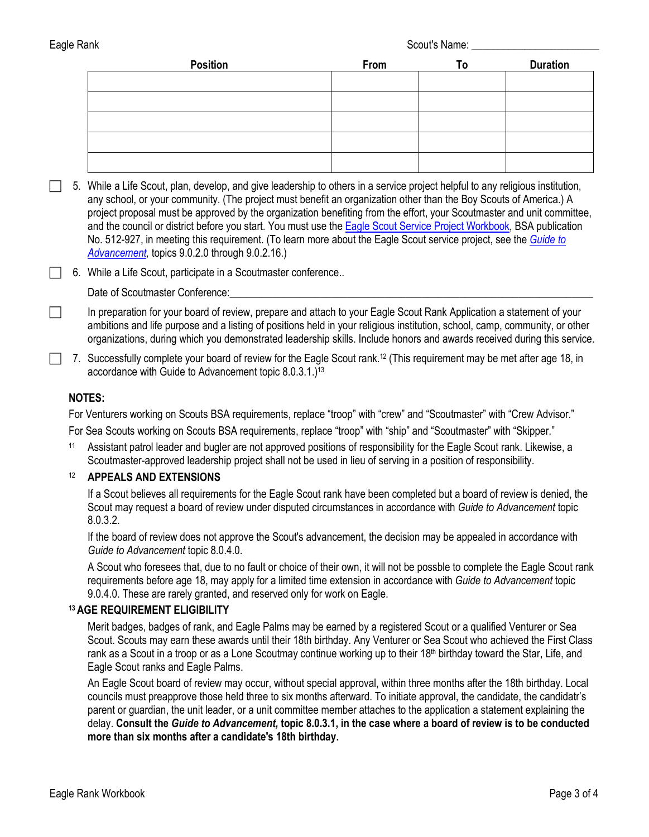| Position | From | T٥ | <b>Duration</b> |
|----------|------|----|-----------------|
|          |      |    |                 |
|          |      |    |                 |
|          |      |    |                 |
|          |      |    |                 |
|          |      |    |                 |

 5. While a Life Scout, plan, develop, and give leadership to others in a service project helpful to any religious institution, any school, or your community. (The project must benefit an organization other than the Boy Scouts of America.) A project proposal must be approved by the organization benefiting from the effort, your Scoutmaster and unit committee, and the council or district before you start. You must use th[e Eagle Scout Service Project Workbook,](http://www.scouting.org/scoutsource/BoyScouts/AdvancementandAwards/EagleWorkbookProcedures.aspx) BSA publication No. 512-927, in meeting this requirement. (To learn more about the Eagle Scout service project, see the *[Guide to](http://www.scouting.org/filestore/pdf/33088.pdf)  [Advancement,](http://www.scouting.org/filestore/pdf/33088.pdf)* topics 9.0.2.0 through 9.0.2.16.)

□ 6. While a Life Scout, participate in a Scoutmaster conference..

Date of Scoutmaster Conference:

In preparation for your board of review, prepare and attach to your Eagle Scout Rank Application a statement of your ambitions and life purpose and a listing of positions held in your religious institution, school, camp, community, or other organizations, during which you demonstrated leadership skills. Include honors and awards received during this service.

7. Successfully complete your board of review for the Eagle Scout rank.<sup>12</sup> (This requirement may be met after age 18, in accordance with Guide to Advancement topic 8.0.3.1.)<sup>13</sup>

### **NOTES:**

For Venturers working on Scouts BSA requirements, replace "troop" with "crew" and "Scoutmaster" with "Crew Advisor."

For Sea Scouts working on Scouts BSA requirements, replace "troop" with "ship" and "Scoutmaster" with "Skipper."

<sup>11</sup> Assistant patrol leader and bugler are not approved positions of responsibility for the Eagle Scout rank. Likewise, a Scoutmaster-approved leadership project shall not be used in lieu of serving in a position of responsibility.

## <sup>12</sup> **APPEALS AND EXTENSIONS**

If a Scout believes all requirements for the Eagle Scout rank have been completed but a board of review is denied, the Scout may request a board of review under disputed circumstances in accordance with *Guide to Advancement* topic 8.0.3.2.

If the board of review does not approve the Scout's advancement, the decision may be appealed in accordance with *Guide to Advancement* topic 8.0.4.0.

A Scout who foresees that, due to no fault or choice of their own, it will not be possble to complete the Eagle Scout rank requirements before age 18, may apply for a limited time extension in accordance with *Guide to Advancement* topic 9.0.4.0. These are rarely granted, and reserved only for work on Eagle.

### **<sup>13</sup>AGE REQUIREMENT ELIGIBILITY**

Merit badges, badges of rank, and Eagle Palms may be earned by a registered Scout or a qualified Venturer or Sea Scout. Scouts may earn these awards until their 18th birthday. Any Venturer or Sea Scout who achieved the First Class rank as a Scout in a troop or as a Lone Scoutmay continue working up to their 18<sup>th</sup> birthday toward the Star, Life, and Eagle Scout ranks and Eagle Palms.

An Eagle Scout board of review may occur, without special approval, within three months after the 18th birthday. Local councils must preapprove those held three to six months afterward. To initiate approval, the candidate, the candidatr's parent or guardian, the unit leader, or a unit committee member attaches to the application a statement explaining the delay. **Consult the** *Guide to Advancement,* **topic 8.0.3.1, in the case where a board of review is to be conducted more than six months after a candidate's 18th birthday.**